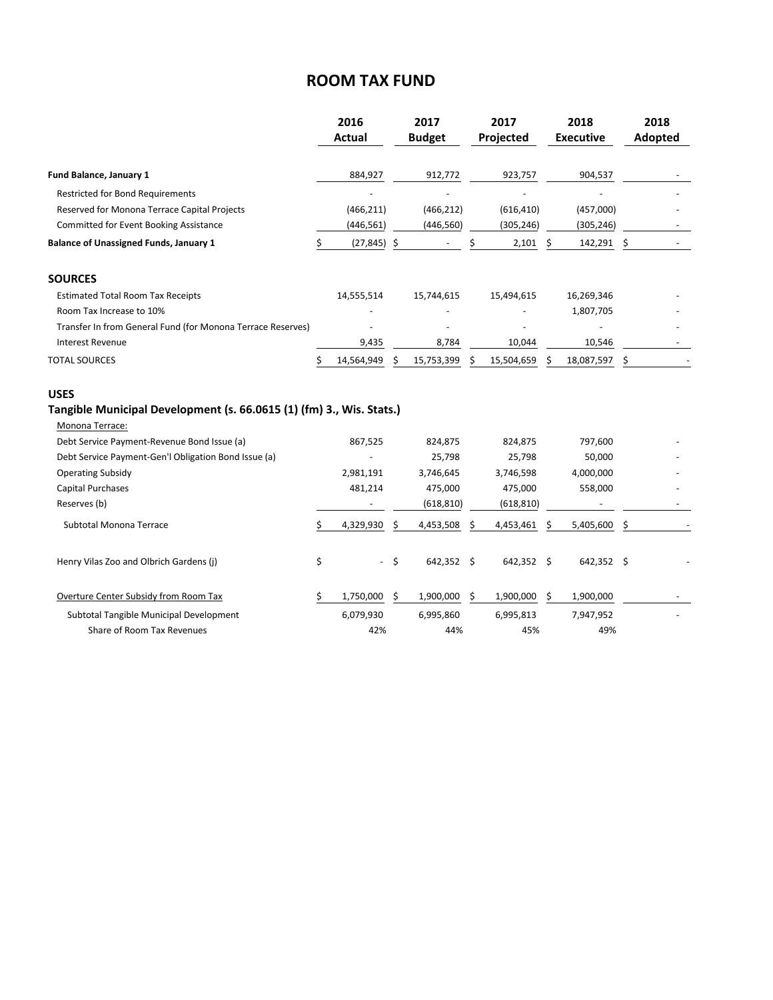## **ROOM TAX FUND**

|                                                                      | 2016 |                | 2017 |               | 2017 |            | 2018 |                  | 2018 |         |
|----------------------------------------------------------------------|------|----------------|------|---------------|------|------------|------|------------------|------|---------|
|                                                                      |      | Actual         |      | <b>Budget</b> |      | Projected  |      | <b>Executive</b> |      | Adopted |
|                                                                      |      |                |      |               |      |            |      |                  |      |         |
| Fund Balance, January 1                                              |      | 884,927        |      | 912,772       |      | 923,757    |      | 904,537          |      |         |
| <b>Restricted for Bond Requirements</b>                              |      |                |      |               |      |            |      |                  |      |         |
| Reserved for Monona Terrace Capital Projects                         |      | (466, 211)     |      | (466, 212)    |      | (616, 410) |      | (457,000)        |      |         |
| Committed for Event Booking Assistance                               |      | (446, 561)     |      | (446, 560)    |      | (305, 246) |      | (305, 246)       |      |         |
| <b>Balance of Unassigned Funds, January 1</b>                        |      | $(27, 845)$ \$ |      |               |      | 2,101      | \$   | 142,291          | \$   |         |
| <b>SOURCES</b>                                                       |      |                |      |               |      |            |      |                  |      |         |
| <b>Estimated Total Room Tax Receipts</b>                             |      | 14,555,514     |      | 15,744,615    |      | 15,494,615 |      | 16,269,346       |      |         |
| Room Tax Increase to 10%                                             |      |                |      |               |      |            |      | 1,807,705        |      |         |
| Transfer In from General Fund (for Monona Terrace Reserves)          |      |                |      |               |      |            |      |                  |      |         |
| <b>Interest Revenue</b>                                              |      | 9,435          |      | 8,784         |      | 10,044     |      | 10,546           |      |         |
| <b>TOTAL SOURCES</b>                                                 |      | 14,564,949     | Ś    | 15,753,399    | Ś    | 15,504,659 | S    | 18,087,597       | \$   |         |
| <b>USES</b>                                                          |      |                |      |               |      |            |      |                  |      |         |
| Tangible Municipal Development (s. 66.0615 (1) (fm) 3., Wis. Stats.) |      |                |      |               |      |            |      |                  |      |         |
| Monona Terrace:                                                      |      |                |      |               |      |            |      |                  |      |         |
| Debt Service Payment-Revenue Bond Issue (a)                          |      | 867,525        |      | 824,875       |      | 824,875    |      | 797,600          |      |         |
| Debt Service Payment-Gen'l Obligation Bond Issue (a)                 |      |                |      | 25,798        |      | 25,798     |      | 50,000           |      |         |
| <b>Operating Subsidy</b>                                             |      | 2,981,191      |      | 3,746,645     |      | 3,746,598  |      | 4,000,000        |      |         |
| <b>Capital Purchases</b>                                             |      | 481,214        |      | 475,000       |      | 475,000    |      | 558,000          |      |         |
| Reserves (b)                                                         |      |                |      | (618, 810)    |      | (618, 810) |      |                  |      |         |
| Subtotal Monona Terrace                                              | \$   | 4,329,930      | \$   | 4,453,508     | Ś    | 4,453,461  | Ŝ    | 5,405,600        | \$   |         |
| Henry Vilas Zoo and Olbrich Gardens (j)                              | \$   |                | \$   | 642,352 \$    |      | 642,352 \$ |      | 642,352 \$       |      |         |
| Overture Center Subsidy from Room Tax                                |      | 1,750,000      | \$   | 1,900,000     | \$.  | 1,900,000  | \$   | 1,900,000        |      |         |
| Subtotal Tangible Municipal Development                              |      | 6,079,930      |      | 6,995,860     |      | 6,995,813  |      | 7,947,952        |      |         |
| Share of Room Tax Revenues                                           |      | 42%            |      | 44%           |      | 45%        |      | 49%              |      |         |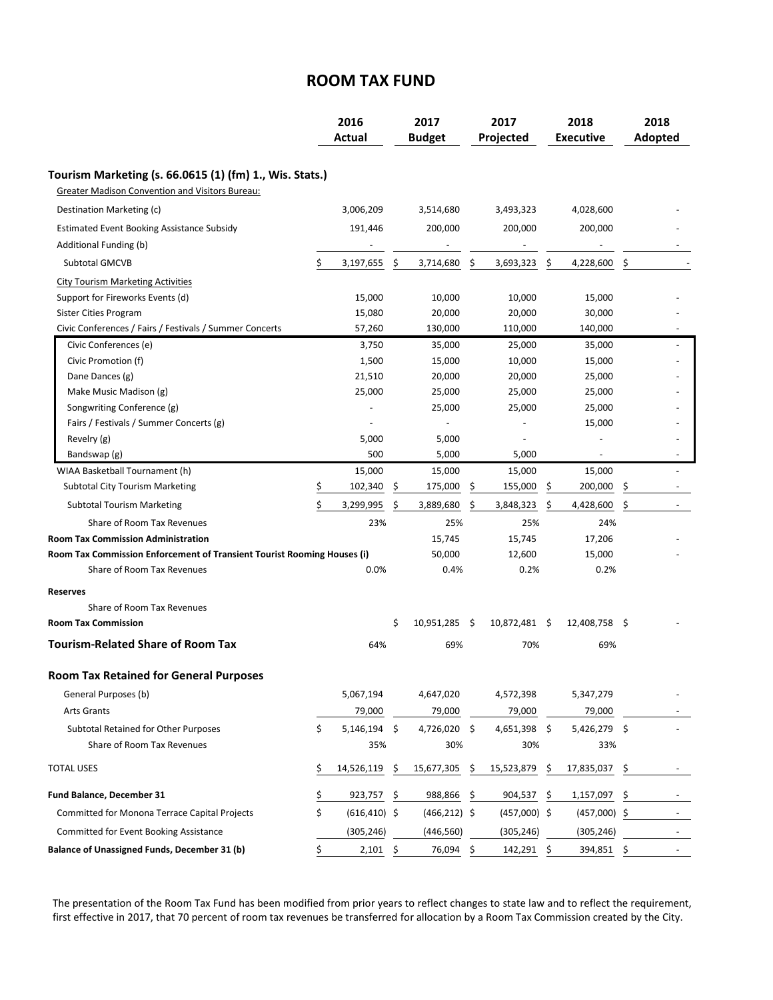## **ROOM TAX FUND**

| Tourism Marketing (s. 66.0615 (1) (fm) 1., Wis. Stats.)<br>Greater Madison Convention and Visitors Bureau:<br>Destination Marketing (c)<br>3,006,209<br>4,028,600<br>3,514,680<br>3,493,323<br><b>Estimated Event Booking Assistance Subsidy</b><br>191,446<br>200,000<br>200,000<br>200,000<br>Additional Funding (b)<br>\$<br><b>Subtotal GMCVB</b><br>Ś.<br>\$<br>3,197,655<br>\$<br>3,714,680<br>3,693,323<br>4,228,600<br><b>City Tourism Marketing Activities</b><br>15,000<br>10,000<br>10,000<br>Support for Fireworks Events (d)<br>15,000<br>Sister Cities Program<br>15,080<br>20,000<br>20,000<br>30,000<br>Civic Conferences / Fairs / Festivals / Summer Concerts<br>130,000<br>110,000<br>140,000<br>57,260<br>Civic Conferences (e)<br>3,750<br>35,000<br>25,000<br>35,000<br>1,500<br>Civic Promotion (f)<br>15,000<br>10,000<br>15,000<br>Dane Dances (g)<br>21,510<br>20,000<br>20,000<br>25,000<br>25,000<br>25,000<br>Make Music Madison (g)<br>25,000<br>25,000<br>Songwriting Conference (g)<br>25,000<br>25,000<br>25,000<br>Fairs / Festivals / Summer Concerts (g)<br>15,000<br>Revelry (g)<br>5,000<br>5,000<br>500<br>Bandswap (g)<br>5,000<br>5,000<br>WIAA Basketball Tournament (h)<br>15,000<br>15,000<br>15,000<br>15,000<br><b>Subtotal City Tourism Marketing</b><br>102,340<br>\$<br>175,000<br>\$<br>155,000<br>\$<br>200,000<br>\$<br>S<br>Ś.<br>\$<br><b>Subtotal Tourism Marketing</b><br>3,299,995<br>Ś<br>3,889,680<br>3,848,323<br>Ŝ<br>4,428,600<br>Share of Room Tax Revenues<br>23%<br>25%<br>25%<br>24%<br><b>Room Tax Commission Administration</b><br>15,745<br>17,206<br>15,745<br>Room Tax Commission Enforcement of Transient Tourist Rooming Houses (i)<br>12,600<br>15,000<br>50,000<br>Share of Room Tax Revenues<br>0.0%<br>0.2%<br>0.2%<br>0.4%<br><b>Reserves</b><br>Share of Room Tax Revenues<br><b>Room Tax Commission</b><br>\$<br>10,951,285<br>10,872,481 \$<br>12,408,758 \$<br>S<br><b>Tourism-Related Share of Room Tax</b><br>64%<br>69%<br>70%<br>69%<br>General Purposes (b)<br>5,067,194<br>4,647,020<br>4,572,398<br>5,347,279<br><b>Arts Grants</b><br>79,000<br>79,000<br>79,000<br>79,000<br>Subtotal Retained for Other Purposes<br>\$<br>5,146,194<br>4,726,020 \$<br>4,651,398<br>5,426,279 \$<br>\$<br>\$<br>Share of Room Tax Revenues<br>35%<br>30%<br>30%<br>33%<br>14,526,119<br>15,677,305<br>15,523,879<br>\$<br>17,835,037<br>\$<br>Ş<br>Ş<br>\$<br>923,757<br>\$<br>988,866<br>904,537<br>\$<br>1,157,097<br>\$<br>\$<br>$(457,000)$ \$<br><b>Committed for Monona Terrace Capital Projects</b><br>$(616, 410)$ \$<br>$(466, 212)$ \$<br>$(457,000)$ \$ |                                               | 2016<br><b>Actual</b> | 2017<br><b>Budget</b> | 2017<br>Projected |            | 2018<br><b>Executive</b> |            | 2018<br>Adopted |  |
|------------------------------------------------------------------------------------------------------------------------------------------------------------------------------------------------------------------------------------------------------------------------------------------------------------------------------------------------------------------------------------------------------------------------------------------------------------------------------------------------------------------------------------------------------------------------------------------------------------------------------------------------------------------------------------------------------------------------------------------------------------------------------------------------------------------------------------------------------------------------------------------------------------------------------------------------------------------------------------------------------------------------------------------------------------------------------------------------------------------------------------------------------------------------------------------------------------------------------------------------------------------------------------------------------------------------------------------------------------------------------------------------------------------------------------------------------------------------------------------------------------------------------------------------------------------------------------------------------------------------------------------------------------------------------------------------------------------------------------------------------------------------------------------------------------------------------------------------------------------------------------------------------------------------------------------------------------------------------------------------------------------------------------------------------------------------------------------------------------------------------------------------------------------------------------------------------------------------------------------------------------------------------------------------------------------------------------------------------------------------------------------------------------------------------------------------------------------------------------------------------------------------------------------------------------------------------------------------------------------------------------------------|-----------------------------------------------|-----------------------|-----------------------|-------------------|------------|--------------------------|------------|-----------------|--|
|                                                                                                                                                                                                                                                                                                                                                                                                                                                                                                                                                                                                                                                                                                                                                                                                                                                                                                                                                                                                                                                                                                                                                                                                                                                                                                                                                                                                                                                                                                                                                                                                                                                                                                                                                                                                                                                                                                                                                                                                                                                                                                                                                                                                                                                                                                                                                                                                                                                                                                                                                                                                                                                |                                               |                       |                       |                   |            |                          |            |                 |  |
|                                                                                                                                                                                                                                                                                                                                                                                                                                                                                                                                                                                                                                                                                                                                                                                                                                                                                                                                                                                                                                                                                                                                                                                                                                                                                                                                                                                                                                                                                                                                                                                                                                                                                                                                                                                                                                                                                                                                                                                                                                                                                                                                                                                                                                                                                                                                                                                                                                                                                                                                                                                                                                                |                                               |                       |                       |                   |            |                          |            |                 |  |
|                                                                                                                                                                                                                                                                                                                                                                                                                                                                                                                                                                                                                                                                                                                                                                                                                                                                                                                                                                                                                                                                                                                                                                                                                                                                                                                                                                                                                                                                                                                                                                                                                                                                                                                                                                                                                                                                                                                                                                                                                                                                                                                                                                                                                                                                                                                                                                                                                                                                                                                                                                                                                                                |                                               |                       |                       |                   |            |                          |            |                 |  |
|                                                                                                                                                                                                                                                                                                                                                                                                                                                                                                                                                                                                                                                                                                                                                                                                                                                                                                                                                                                                                                                                                                                                                                                                                                                                                                                                                                                                                                                                                                                                                                                                                                                                                                                                                                                                                                                                                                                                                                                                                                                                                                                                                                                                                                                                                                                                                                                                                                                                                                                                                                                                                                                |                                               |                       |                       |                   |            |                          |            |                 |  |
|                                                                                                                                                                                                                                                                                                                                                                                                                                                                                                                                                                                                                                                                                                                                                                                                                                                                                                                                                                                                                                                                                                                                                                                                                                                                                                                                                                                                                                                                                                                                                                                                                                                                                                                                                                                                                                                                                                                                                                                                                                                                                                                                                                                                                                                                                                                                                                                                                                                                                                                                                                                                                                                |                                               |                       |                       |                   |            |                          |            |                 |  |
|                                                                                                                                                                                                                                                                                                                                                                                                                                                                                                                                                                                                                                                                                                                                                                                                                                                                                                                                                                                                                                                                                                                                                                                                                                                                                                                                                                                                                                                                                                                                                                                                                                                                                                                                                                                                                                                                                                                                                                                                                                                                                                                                                                                                                                                                                                                                                                                                                                                                                                                                                                                                                                                |                                               |                       |                       |                   |            |                          |            |                 |  |
|                                                                                                                                                                                                                                                                                                                                                                                                                                                                                                                                                                                                                                                                                                                                                                                                                                                                                                                                                                                                                                                                                                                                                                                                                                                                                                                                                                                                                                                                                                                                                                                                                                                                                                                                                                                                                                                                                                                                                                                                                                                                                                                                                                                                                                                                                                                                                                                                                                                                                                                                                                                                                                                |                                               |                       |                       |                   |            |                          |            |                 |  |
|                                                                                                                                                                                                                                                                                                                                                                                                                                                                                                                                                                                                                                                                                                                                                                                                                                                                                                                                                                                                                                                                                                                                                                                                                                                                                                                                                                                                                                                                                                                                                                                                                                                                                                                                                                                                                                                                                                                                                                                                                                                                                                                                                                                                                                                                                                                                                                                                                                                                                                                                                                                                                                                |                                               |                       |                       |                   |            |                          |            |                 |  |
|                                                                                                                                                                                                                                                                                                                                                                                                                                                                                                                                                                                                                                                                                                                                                                                                                                                                                                                                                                                                                                                                                                                                                                                                                                                                                                                                                                                                                                                                                                                                                                                                                                                                                                                                                                                                                                                                                                                                                                                                                                                                                                                                                                                                                                                                                                                                                                                                                                                                                                                                                                                                                                                |                                               |                       |                       |                   |            |                          |            |                 |  |
|                                                                                                                                                                                                                                                                                                                                                                                                                                                                                                                                                                                                                                                                                                                                                                                                                                                                                                                                                                                                                                                                                                                                                                                                                                                                                                                                                                                                                                                                                                                                                                                                                                                                                                                                                                                                                                                                                                                                                                                                                                                                                                                                                                                                                                                                                                                                                                                                                                                                                                                                                                                                                                                |                                               |                       |                       |                   |            |                          |            |                 |  |
|                                                                                                                                                                                                                                                                                                                                                                                                                                                                                                                                                                                                                                                                                                                                                                                                                                                                                                                                                                                                                                                                                                                                                                                                                                                                                                                                                                                                                                                                                                                                                                                                                                                                                                                                                                                                                                                                                                                                                                                                                                                                                                                                                                                                                                                                                                                                                                                                                                                                                                                                                                                                                                                |                                               |                       |                       |                   |            |                          |            |                 |  |
|                                                                                                                                                                                                                                                                                                                                                                                                                                                                                                                                                                                                                                                                                                                                                                                                                                                                                                                                                                                                                                                                                                                                                                                                                                                                                                                                                                                                                                                                                                                                                                                                                                                                                                                                                                                                                                                                                                                                                                                                                                                                                                                                                                                                                                                                                                                                                                                                                                                                                                                                                                                                                                                |                                               |                       |                       |                   |            |                          |            |                 |  |
|                                                                                                                                                                                                                                                                                                                                                                                                                                                                                                                                                                                                                                                                                                                                                                                                                                                                                                                                                                                                                                                                                                                                                                                                                                                                                                                                                                                                                                                                                                                                                                                                                                                                                                                                                                                                                                                                                                                                                                                                                                                                                                                                                                                                                                                                                                                                                                                                                                                                                                                                                                                                                                                |                                               |                       |                       |                   |            |                          |            |                 |  |
|                                                                                                                                                                                                                                                                                                                                                                                                                                                                                                                                                                                                                                                                                                                                                                                                                                                                                                                                                                                                                                                                                                                                                                                                                                                                                                                                                                                                                                                                                                                                                                                                                                                                                                                                                                                                                                                                                                                                                                                                                                                                                                                                                                                                                                                                                                                                                                                                                                                                                                                                                                                                                                                |                                               |                       |                       |                   |            |                          |            |                 |  |
|                                                                                                                                                                                                                                                                                                                                                                                                                                                                                                                                                                                                                                                                                                                                                                                                                                                                                                                                                                                                                                                                                                                                                                                                                                                                                                                                                                                                                                                                                                                                                                                                                                                                                                                                                                                                                                                                                                                                                                                                                                                                                                                                                                                                                                                                                                                                                                                                                                                                                                                                                                                                                                                |                                               |                       |                       |                   |            |                          |            |                 |  |
|                                                                                                                                                                                                                                                                                                                                                                                                                                                                                                                                                                                                                                                                                                                                                                                                                                                                                                                                                                                                                                                                                                                                                                                                                                                                                                                                                                                                                                                                                                                                                                                                                                                                                                                                                                                                                                                                                                                                                                                                                                                                                                                                                                                                                                                                                                                                                                                                                                                                                                                                                                                                                                                |                                               |                       |                       |                   |            |                          |            |                 |  |
|                                                                                                                                                                                                                                                                                                                                                                                                                                                                                                                                                                                                                                                                                                                                                                                                                                                                                                                                                                                                                                                                                                                                                                                                                                                                                                                                                                                                                                                                                                                                                                                                                                                                                                                                                                                                                                                                                                                                                                                                                                                                                                                                                                                                                                                                                                                                                                                                                                                                                                                                                                                                                                                |                                               |                       |                       |                   |            |                          |            |                 |  |
|                                                                                                                                                                                                                                                                                                                                                                                                                                                                                                                                                                                                                                                                                                                                                                                                                                                                                                                                                                                                                                                                                                                                                                                                                                                                                                                                                                                                                                                                                                                                                                                                                                                                                                                                                                                                                                                                                                                                                                                                                                                                                                                                                                                                                                                                                                                                                                                                                                                                                                                                                                                                                                                |                                               |                       |                       |                   |            |                          |            |                 |  |
|                                                                                                                                                                                                                                                                                                                                                                                                                                                                                                                                                                                                                                                                                                                                                                                                                                                                                                                                                                                                                                                                                                                                                                                                                                                                                                                                                                                                                                                                                                                                                                                                                                                                                                                                                                                                                                                                                                                                                                                                                                                                                                                                                                                                                                                                                                                                                                                                                                                                                                                                                                                                                                                |                                               |                       |                       |                   |            |                          |            |                 |  |
|                                                                                                                                                                                                                                                                                                                                                                                                                                                                                                                                                                                                                                                                                                                                                                                                                                                                                                                                                                                                                                                                                                                                                                                                                                                                                                                                                                                                                                                                                                                                                                                                                                                                                                                                                                                                                                                                                                                                                                                                                                                                                                                                                                                                                                                                                                                                                                                                                                                                                                                                                                                                                                                |                                               |                       |                       |                   |            |                          |            |                 |  |
|                                                                                                                                                                                                                                                                                                                                                                                                                                                                                                                                                                                                                                                                                                                                                                                                                                                                                                                                                                                                                                                                                                                                                                                                                                                                                                                                                                                                                                                                                                                                                                                                                                                                                                                                                                                                                                                                                                                                                                                                                                                                                                                                                                                                                                                                                                                                                                                                                                                                                                                                                                                                                                                |                                               |                       |                       |                   |            |                          |            |                 |  |
|                                                                                                                                                                                                                                                                                                                                                                                                                                                                                                                                                                                                                                                                                                                                                                                                                                                                                                                                                                                                                                                                                                                                                                                                                                                                                                                                                                                                                                                                                                                                                                                                                                                                                                                                                                                                                                                                                                                                                                                                                                                                                                                                                                                                                                                                                                                                                                                                                                                                                                                                                                                                                                                |                                               |                       |                       |                   |            |                          |            |                 |  |
|                                                                                                                                                                                                                                                                                                                                                                                                                                                                                                                                                                                                                                                                                                                                                                                                                                                                                                                                                                                                                                                                                                                                                                                                                                                                                                                                                                                                                                                                                                                                                                                                                                                                                                                                                                                                                                                                                                                                                                                                                                                                                                                                                                                                                                                                                                                                                                                                                                                                                                                                                                                                                                                |                                               |                       |                       |                   |            |                          |            |                 |  |
|                                                                                                                                                                                                                                                                                                                                                                                                                                                                                                                                                                                                                                                                                                                                                                                                                                                                                                                                                                                                                                                                                                                                                                                                                                                                                                                                                                                                                                                                                                                                                                                                                                                                                                                                                                                                                                                                                                                                                                                                                                                                                                                                                                                                                                                                                                                                                                                                                                                                                                                                                                                                                                                |                                               |                       |                       |                   |            |                          |            |                 |  |
|                                                                                                                                                                                                                                                                                                                                                                                                                                                                                                                                                                                                                                                                                                                                                                                                                                                                                                                                                                                                                                                                                                                                                                                                                                                                                                                                                                                                                                                                                                                                                                                                                                                                                                                                                                                                                                                                                                                                                                                                                                                                                                                                                                                                                                                                                                                                                                                                                                                                                                                                                                                                                                                |                                               |                       |                       |                   |            |                          |            |                 |  |
|                                                                                                                                                                                                                                                                                                                                                                                                                                                                                                                                                                                                                                                                                                                                                                                                                                                                                                                                                                                                                                                                                                                                                                                                                                                                                                                                                                                                                                                                                                                                                                                                                                                                                                                                                                                                                                                                                                                                                                                                                                                                                                                                                                                                                                                                                                                                                                                                                                                                                                                                                                                                                                                |                                               |                       |                       |                   |            |                          |            |                 |  |
|                                                                                                                                                                                                                                                                                                                                                                                                                                                                                                                                                                                                                                                                                                                                                                                                                                                                                                                                                                                                                                                                                                                                                                                                                                                                                                                                                                                                                                                                                                                                                                                                                                                                                                                                                                                                                                                                                                                                                                                                                                                                                                                                                                                                                                                                                                                                                                                                                                                                                                                                                                                                                                                |                                               |                       |                       |                   |            |                          |            |                 |  |
|                                                                                                                                                                                                                                                                                                                                                                                                                                                                                                                                                                                                                                                                                                                                                                                                                                                                                                                                                                                                                                                                                                                                                                                                                                                                                                                                                                                                                                                                                                                                                                                                                                                                                                                                                                                                                                                                                                                                                                                                                                                                                                                                                                                                                                                                                                                                                                                                                                                                                                                                                                                                                                                |                                               |                       |                       |                   |            |                          |            |                 |  |
|                                                                                                                                                                                                                                                                                                                                                                                                                                                                                                                                                                                                                                                                                                                                                                                                                                                                                                                                                                                                                                                                                                                                                                                                                                                                                                                                                                                                                                                                                                                                                                                                                                                                                                                                                                                                                                                                                                                                                                                                                                                                                                                                                                                                                                                                                                                                                                                                                                                                                                                                                                                                                                                |                                               |                       |                       |                   |            |                          |            |                 |  |
|                                                                                                                                                                                                                                                                                                                                                                                                                                                                                                                                                                                                                                                                                                                                                                                                                                                                                                                                                                                                                                                                                                                                                                                                                                                                                                                                                                                                                                                                                                                                                                                                                                                                                                                                                                                                                                                                                                                                                                                                                                                                                                                                                                                                                                                                                                                                                                                                                                                                                                                                                                                                                                                | <b>Room Tax Retained for General Purposes</b> |                       |                       |                   |            |                          |            |                 |  |
|                                                                                                                                                                                                                                                                                                                                                                                                                                                                                                                                                                                                                                                                                                                                                                                                                                                                                                                                                                                                                                                                                                                                                                                                                                                                                                                                                                                                                                                                                                                                                                                                                                                                                                                                                                                                                                                                                                                                                                                                                                                                                                                                                                                                                                                                                                                                                                                                                                                                                                                                                                                                                                                |                                               |                       |                       |                   |            |                          |            |                 |  |
|                                                                                                                                                                                                                                                                                                                                                                                                                                                                                                                                                                                                                                                                                                                                                                                                                                                                                                                                                                                                                                                                                                                                                                                                                                                                                                                                                                                                                                                                                                                                                                                                                                                                                                                                                                                                                                                                                                                                                                                                                                                                                                                                                                                                                                                                                                                                                                                                                                                                                                                                                                                                                                                |                                               |                       |                       |                   |            |                          |            |                 |  |
|                                                                                                                                                                                                                                                                                                                                                                                                                                                                                                                                                                                                                                                                                                                                                                                                                                                                                                                                                                                                                                                                                                                                                                                                                                                                                                                                                                                                                                                                                                                                                                                                                                                                                                                                                                                                                                                                                                                                                                                                                                                                                                                                                                                                                                                                                                                                                                                                                                                                                                                                                                                                                                                |                                               |                       |                       |                   |            |                          |            |                 |  |
|                                                                                                                                                                                                                                                                                                                                                                                                                                                                                                                                                                                                                                                                                                                                                                                                                                                                                                                                                                                                                                                                                                                                                                                                                                                                                                                                                                                                                                                                                                                                                                                                                                                                                                                                                                                                                                                                                                                                                                                                                                                                                                                                                                                                                                                                                                                                                                                                                                                                                                                                                                                                                                                |                                               |                       |                       |                   |            |                          |            |                 |  |
|                                                                                                                                                                                                                                                                                                                                                                                                                                                                                                                                                                                                                                                                                                                                                                                                                                                                                                                                                                                                                                                                                                                                                                                                                                                                                                                                                                                                                                                                                                                                                                                                                                                                                                                                                                                                                                                                                                                                                                                                                                                                                                                                                                                                                                                                                                                                                                                                                                                                                                                                                                                                                                                | <b>TOTAL USES</b>                             |                       |                       |                   |            |                          |            |                 |  |
|                                                                                                                                                                                                                                                                                                                                                                                                                                                                                                                                                                                                                                                                                                                                                                                                                                                                                                                                                                                                                                                                                                                                                                                                                                                                                                                                                                                                                                                                                                                                                                                                                                                                                                                                                                                                                                                                                                                                                                                                                                                                                                                                                                                                                                                                                                                                                                                                                                                                                                                                                                                                                                                | <b>Fund Balance, December 31</b>              |                       |                       |                   |            |                          |            |                 |  |
|                                                                                                                                                                                                                                                                                                                                                                                                                                                                                                                                                                                                                                                                                                                                                                                                                                                                                                                                                                                                                                                                                                                                                                                                                                                                                                                                                                                                                                                                                                                                                                                                                                                                                                                                                                                                                                                                                                                                                                                                                                                                                                                                                                                                                                                                                                                                                                                                                                                                                                                                                                                                                                                |                                               |                       |                       |                   |            |                          |            |                 |  |
|                                                                                                                                                                                                                                                                                                                                                                                                                                                                                                                                                                                                                                                                                                                                                                                                                                                                                                                                                                                                                                                                                                                                                                                                                                                                                                                                                                                                                                                                                                                                                                                                                                                                                                                                                                                                                                                                                                                                                                                                                                                                                                                                                                                                                                                                                                                                                                                                                                                                                                                                                                                                                                                | Committed for Event Booking Assistance        | (305, 246)            | (446, 560)            |                   | (305, 246) |                          | (305, 246) |                 |  |
| 2,101<br>76,094<br>\$<br>142,291<br>\$.<br>394,851<br>\$<br>Ş                                                                                                                                                                                                                                                                                                                                                                                                                                                                                                                                                                                                                                                                                                                                                                                                                                                                                                                                                                                                                                                                                                                                                                                                                                                                                                                                                                                                                                                                                                                                                                                                                                                                                                                                                                                                                                                                                                                                                                                                                                                                                                                                                                                                                                                                                                                                                                                                                                                                                                                                                                                  | Balance of Unassigned Funds, December 31 (b)  |                       |                       |                   |            |                          |            |                 |  |

The presentation of the Room Tax Fund has been modified from prior years to reflect changes to state law and to reflect the requirement, first effective in 2017, that 70 percent of room tax revenues be transferred for allocation by a Room Tax Commission created by the City.